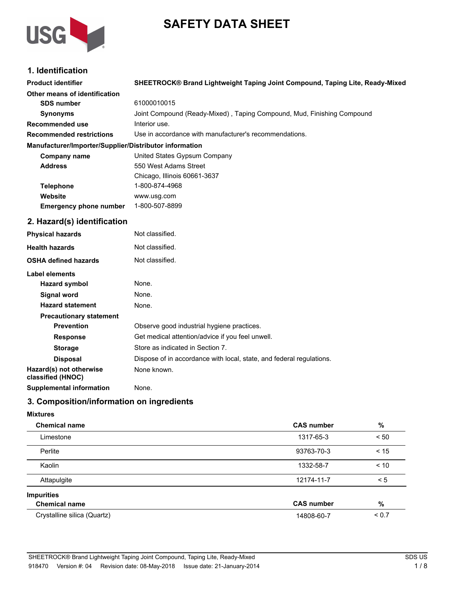# **SAFETY DATA SHEET**



# **1. Identification**

| <b>Product identifier</b>                              | SHEETROCK® Brand Lightweight Taping Joint Compound, Taping Lite, Ready-Mixed |  |  |
|--------------------------------------------------------|------------------------------------------------------------------------------|--|--|
| Other means of identification                          |                                                                              |  |  |
| <b>SDS number</b>                                      | 61000010015                                                                  |  |  |
| <b>Synonyms</b>                                        | Joint Compound (Ready-Mixed), Taping Compound, Mud, Finishing Compound       |  |  |
| <b>Recommended use</b>                                 | Interior use.                                                                |  |  |
| <b>Recommended restrictions</b>                        | Use in accordance with manufacturer's recommendations.                       |  |  |
| Manufacturer/Importer/Supplier/Distributor information |                                                                              |  |  |
| Company name                                           | United States Gypsum Company                                                 |  |  |
| <b>Address</b>                                         | 550 West Adams Street                                                        |  |  |
|                                                        | Chicago, Illinois 60661-3637                                                 |  |  |
| <b>Telephone</b>                                       | 1-800-874-4968                                                               |  |  |
| Website                                                | www.usg.com                                                                  |  |  |
| <b>Emergency phone number</b>                          | 1-800-507-8899                                                               |  |  |
| 2. Hazard(s) identification                            |                                                                              |  |  |
| <b>Physical hazards</b>                                | Not classified.                                                              |  |  |
| <b>Health hazards</b>                                  | Not classified.                                                              |  |  |
| <b>OSHA defined hazards</b>                            | Not classified.                                                              |  |  |
| <b>Label elements</b>                                  |                                                                              |  |  |
| <b>Hazard symbol</b>                                   | None.                                                                        |  |  |
| <b>Signal word</b>                                     | None.                                                                        |  |  |
| <b>Hazard statement</b>                                | None.                                                                        |  |  |
| <b>Precautionary statement</b>                         |                                                                              |  |  |
| <b>Prevention</b>                                      | Observe good industrial hygiene practices.                                   |  |  |
| <b>Response</b>                                        | Get medical attention/advice if you feel unwell.                             |  |  |
| <b>Storage</b>                                         | Store as indicated in Section 7.                                             |  |  |
| <b>Disposal</b>                                        | Dispose of in accordance with local, state, and federal regulations.         |  |  |
| Hazard(s) not otherwise<br>classified (HNOC)           | None known.                                                                  |  |  |
| <b>Supplemental information</b>                        | None.                                                                        |  |  |
| 3. Composition/information on ingredients              |                                                                              |  |  |

#### **Mixtures**

| <b>Chemical name</b>        | <b>CAS number</b> | $\%$       |
|-----------------------------|-------------------|------------|
| Limestone                   | 1317-65-3         | < 50       |
| Perlite                     | 93763-70-3        | < 15       |
| Kaolin                      | 1332-58-7         | < 10       |
| Attapulgite                 | 12174-11-7        | < 5        |
| <b>Impurities</b>           |                   |            |
| <b>Chemical name</b>        | <b>CAS number</b> | $\%$       |
| Crystalline silica (Quartz) | 14808-60-7        | ${}_{0.7}$ |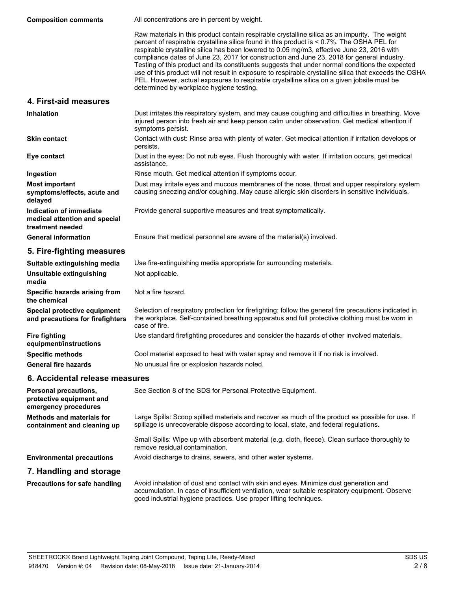All concentrations are in percent by weight. Raw materials in this product contain respirable crystalline silica as an impurity. The weight percent of respirable crystalline silica found in this product is < 0.7%. The OSHA PEL for respirable crystalline silica has been lowered to 0.05 mg/m3, effective June 23, 2016 with compliance dates of June 23, 2017 for construction and June 23, 2018 for general industry. Testing of this product and its constituents suggests that under normal conditions the expected use of this product will not result in exposure to respirable crystalline silica that exceeds the OSHA PEL. However, actual exposures to respirable crystalline silica on a given jobsite must be determined by workplace hygiene testing. **Composition comments 4. First-aid measures** Dust irritates the respiratory system, and may cause coughing and difficulties in breathing. Move injured person into fresh air and keep person calm under observation. Get medical attention if symptoms persist. **Inhalation** Contact with dust: Rinse area with plenty of water. Get medical attention if irritation develops or persists. **Skin contact** Dust in the eyes: Do not rub eyes. Flush thoroughly with water. If irritation occurs, get medical assistance. **Eye contact Ingestion** Rinse mouth. Get medical attention if symptoms occur. Dust may irritate eyes and mucous membranes of the nose, throat and upper respiratory system causing sneezing and/or coughing. May cause allergic skin disorders in sensitive individuals. **Most important symptoms/effects, acute and delayed Indication of immediate** Provide general supportive measures and treat symptomatically. **medical attention and special treatment needed General information** Ensure that medical personnel are aware of the material(s) involved.

# **5. Fire-fighting measures**

| Suitable extinguishing media                                     | Use fire-extinguishing media appropriate for surrounding materials.                                                                                                                                                       |  |  |
|------------------------------------------------------------------|---------------------------------------------------------------------------------------------------------------------------------------------------------------------------------------------------------------------------|--|--|
| Unsuitable extinguishing<br>media                                | Not applicable.                                                                                                                                                                                                           |  |  |
| Specific hazards arising from<br>the chemical                    | Not a fire hazard.                                                                                                                                                                                                        |  |  |
| Special protective equipment<br>and precautions for firefighters | Selection of respiratory protection for firefighting: follow the general fire precautions indicated in<br>the workplace. Self-contained breathing apparatus and full protective clothing must be worn in<br>case of fire. |  |  |
| <b>Fire fighting</b><br>equipment/instructions                   | Use standard firefighting procedures and consider the hazards of other involved materials.                                                                                                                                |  |  |
| <b>Specific methods</b>                                          | Cool material exposed to heat with water spray and remove it if no risk is involved.                                                                                                                                      |  |  |
| <b>General fire hazards</b>                                      | No unusual fire or explosion hazards noted.                                                                                                                                                                               |  |  |

## **6. Accidental release measures**

| <b>Personal precautions,</b><br>protective equipment and<br>emergency procedures | See Section 8 of the SDS for Personal Protective Equipment.                                                                                                                                                                                                   |  |
|----------------------------------------------------------------------------------|---------------------------------------------------------------------------------------------------------------------------------------------------------------------------------------------------------------------------------------------------------------|--|
| <b>Methods and materials for</b><br>containment and cleaning up                  | Large Spills: Scoop spilled materials and recover as much of the product as possible for use. If<br>spillage is unrecoverable dispose according to local, state, and federal regulations.                                                                     |  |
|                                                                                  | Small Spills: Wipe up with absorbent material (e.g. cloth, fleece). Clean surface thoroughly to<br>remove residual contamination.                                                                                                                             |  |
| <b>Environmental precautions</b>                                                 | Avoid discharge to drains, sewers, and other water systems.                                                                                                                                                                                                   |  |
| 7. Handling and storage                                                          |                                                                                                                                                                                                                                                               |  |
| <b>Precautions for safe handling</b>                                             | Avoid inhalation of dust and contact with skin and eyes. Minimize dust generation and<br>accumulation. In case of insufficient ventilation, wear suitable respiratory equipment. Observe<br>good industrial hygiene practices. Use proper lifting techniques. |  |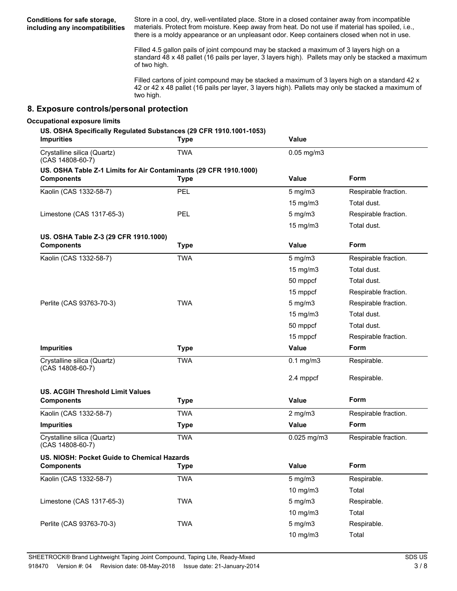**Conditions for safe storage, including any incompatibilities**

Store in a cool, dry, well-ventilated place. Store in a closed container away from incompatible materials. Protect from moisture. Keep away from heat. Do not use if material has spoiled, i.e., there is a moldy appearance or an unpleasant odor. Keep containers closed when not in use.

Filled 4.5 gallon pails of joint compound may be stacked a maximum of 3 layers high on a standard 48 x 48 pallet (16 pails per layer, 3 layers high). Pallets may only be stacked a maximum of two high.

Filled cartons of joint compound may be stacked a maximum of 3 layers high on a standard 42 x 42 or 42 x 48 pallet (16 pails per layer, 3 layers high). Pallets may only be stacked a maximum of two high.

#### **8. Exposure controls/personal protection**

#### **Occupational exposure limits**

#### **US. OSHA Specifically Regulated Substances (29 CFR 1910.1001-1053)**

| <b>Impurities</b>                                                 | <b>Type</b> | <b>Value</b>      |                      |
|-------------------------------------------------------------------|-------------|-------------------|----------------------|
| Crystalline silica (Quartz)<br>(CAS 14808-60-7)                   | <b>TWA</b>  | $0.05$ mg/m $3$   |                      |
| US. OSHA Table Z-1 Limits for Air Contaminants (29 CFR 1910.1000) |             |                   |                      |
| <b>Components</b>                                                 | <b>Type</b> | <b>Value</b>      | Form                 |
| Kaolin (CAS 1332-58-7)                                            | PEL         | $5$ mg/m $3$      | Respirable fraction. |
|                                                                   |             | 15 mg/m3          | Total dust.          |
| Limestone (CAS 1317-65-3)                                         | PEL         | $5$ mg/m $3$      | Respirable fraction. |
|                                                                   |             | $15 \text{ mg/m}$ | Total dust.          |
| US. OSHA Table Z-3 (29 CFR 1910.1000)                             |             |                   |                      |
| <b>Components</b>                                                 | <b>Type</b> | <b>Value</b>      | Form                 |
| Kaolin (CAS 1332-58-7)                                            | <b>TWA</b>  | $5$ mg/m $3$      | Respirable fraction. |
|                                                                   |             | 15 mg/m3          | Total dust.          |
|                                                                   |             | 50 mppcf          | Total dust.          |
|                                                                   |             | 15 mppcf          | Respirable fraction. |
| Perlite (CAS 93763-70-3)                                          | <b>TWA</b>  | $5$ mg/m $3$      | Respirable fraction. |
|                                                                   |             | 15 mg/m3          | Total dust.          |
|                                                                   |             | 50 mppcf          | Total dust.          |
|                                                                   |             | 15 mppcf          | Respirable fraction. |
| <b>Impurities</b>                                                 | <b>Type</b> | <b>Value</b>      | Form                 |
| Crystalline silica (Quartz)<br>(CAS 14808-60-7)                   | <b>TWA</b>  | $0.1$ mg/m $3$    | Respirable.          |
|                                                                   |             | 2.4 mppcf         | Respirable.          |
| <b>US. ACGIH Threshold Limit Values</b>                           |             |                   |                      |
| <b>Components</b>                                                 | <b>Type</b> | <b>Value</b>      | Form                 |
| Kaolin (CAS 1332-58-7)                                            | <b>TWA</b>  | $2$ mg/m $3$      | Respirable fraction. |
| <b>Impurities</b>                                                 | <b>Type</b> | <b>Value</b>      | Form                 |
| Crystalline silica (Quartz)<br>(CAS 14808-60-7)                   | <b>TWA</b>  | $0.025$ mg/m $3$  | Respirable fraction. |
| US. NIOSH: Pocket Guide to Chemical Hazards                       |             |                   |                      |
| <b>Components</b>                                                 | <b>Type</b> | <b>Value</b>      | Form                 |
| Kaolin (CAS 1332-58-7)                                            | <b>TWA</b>  | $5$ mg/m $3$      | Respirable.          |
|                                                                   |             | 10 mg/m3          | Total                |
| Limestone (CAS 1317-65-3)                                         | <b>TWA</b>  | $5$ mg/m $3$      | Respirable.          |
|                                                                   |             | 10 mg/m3          | Total                |
| Perlite (CAS 93763-70-3)                                          | <b>TWA</b>  | $5$ mg/m $3$      | Respirable.          |
|                                                                   |             | 10 mg/m3          | Total                |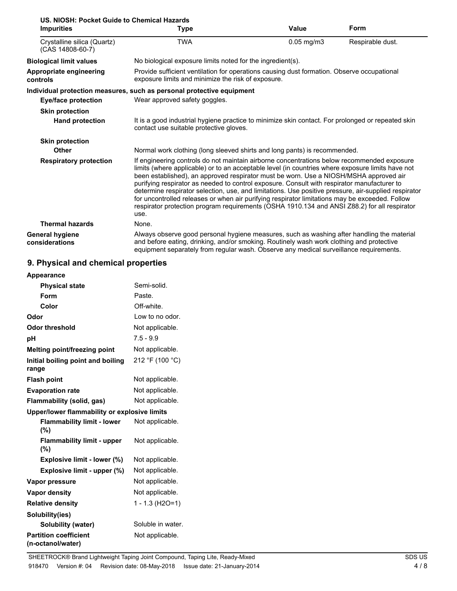| US. NIOSH: Pocket Guide to Chemical Hazards     |                                                                                                                                                                                                                                                                                                                                                                                                                                                                                                                                                                                                                                                                                                          |                                                            |                  |  |
|-------------------------------------------------|----------------------------------------------------------------------------------------------------------------------------------------------------------------------------------------------------------------------------------------------------------------------------------------------------------------------------------------------------------------------------------------------------------------------------------------------------------------------------------------------------------------------------------------------------------------------------------------------------------------------------------------------------------------------------------------------------------|------------------------------------------------------------|------------------|--|
| <b>Impurities</b>                               | Type                                                                                                                                                                                                                                                                                                                                                                                                                                                                                                                                                                                                                                                                                                     | Value                                                      | Form             |  |
| Crystalline silica (Quartz)<br>(CAS 14808-60-7) | TWA                                                                                                                                                                                                                                                                                                                                                                                                                                                                                                                                                                                                                                                                                                      | $0.05$ mg/m $3$                                            | Respirable dust. |  |
| <b>Biological limit values</b>                  |                                                                                                                                                                                                                                                                                                                                                                                                                                                                                                                                                                                                                                                                                                          | No biological exposure limits noted for the ingredient(s). |                  |  |
| Appropriate engineering<br>controls             | Provide sufficient ventilation for operations causing dust formation. Observe occupational<br>exposure limits and minimize the risk of exposure.                                                                                                                                                                                                                                                                                                                                                                                                                                                                                                                                                         |                                                            |                  |  |
|                                                 | Individual protection measures, such as personal protective equipment                                                                                                                                                                                                                                                                                                                                                                                                                                                                                                                                                                                                                                    |                                                            |                  |  |
| <b>Eye/face protection</b>                      | Wear approved safety goggles.                                                                                                                                                                                                                                                                                                                                                                                                                                                                                                                                                                                                                                                                            |                                                            |                  |  |
| <b>Skin protection</b>                          |                                                                                                                                                                                                                                                                                                                                                                                                                                                                                                                                                                                                                                                                                                          |                                                            |                  |  |
| <b>Hand protection</b>                          | It is a good industrial hygiene practice to minimize skin contact. For prolonged or repeated skin<br>contact use suitable protective gloves.                                                                                                                                                                                                                                                                                                                                                                                                                                                                                                                                                             |                                                            |                  |  |
| <b>Skin protection</b>                          |                                                                                                                                                                                                                                                                                                                                                                                                                                                                                                                                                                                                                                                                                                          |                                                            |                  |  |
| Other                                           | Normal work clothing (long sleeved shirts and long pants) is recommended.                                                                                                                                                                                                                                                                                                                                                                                                                                                                                                                                                                                                                                |                                                            |                  |  |
| <b>Respiratory protection</b>                   | If engineering controls do not maintain airborne concentrations below recommended exposure<br>limits (where applicable) or to an acceptable level (in countries where exposure limits have not<br>been established), an approved respirator must be worn. Use a NIOSH/MSHA approved air<br>purifying respirator as needed to control exposure. Consult with respirator manufacturer to<br>determine respirator selection, use, and limitations. Use positive pressure, air-supplied respirator<br>for uncontrolled releases or when air purifying respirator limitations may be exceeded. Follow<br>respirator protection program requirements (OSHA 1910.134 and ANSI Z88.2) for all respirator<br>use. |                                                            |                  |  |
| <b>Thermal hazards</b>                          | None.                                                                                                                                                                                                                                                                                                                                                                                                                                                                                                                                                                                                                                                                                                    |                                                            |                  |  |
| <b>General hygiene</b><br>considerations        | Always observe good personal hygiene measures, such as washing after handling the material<br>and before eating, drinking, and/or smoking. Routinely wash work clothing and protective<br>equipment separately from regular wash. Observe any medical surveillance requirements.                                                                                                                                                                                                                                                                                                                                                                                                                         |                                                            |                  |  |

# **9. Physical and chemical properties**

| <b>Appearance</b>                                 |                   |
|---------------------------------------------------|-------------------|
| <b>Physical state</b>                             | Semi-solid.       |
| Form                                              | Paste.            |
| Color                                             | Off-white.        |
| Odor                                              | Low to no odor.   |
| <b>Odor threshold</b>                             | Not applicable.   |
| рH                                                | $7.5 - 9.9$       |
| Melting point/freezing point                      | Not applicable.   |
| Initial boiling point and boiling<br>range        | 212 °F (100 °C)   |
| <b>Flash point</b>                                | Not applicable.   |
| <b>Evaporation rate</b>                           | Not applicable.   |
| Flammability (solid, gas)                         | Not applicable.   |
| Upper/lower flammability or explosive limits      |                   |
| <b>Flammability limit - lower</b><br>(%)          | Not applicable.   |
| <b>Flammability limit - upper</b><br>(%)          | Not applicable.   |
| Explosive limit - lower (%)                       | Not applicable.   |
| Explosive limit - upper (%)                       | Not applicable.   |
| Vapor pressure                                    | Not applicable.   |
| Vapor density                                     | Not applicable.   |
| <b>Relative density</b>                           | 1 - 1.3 (H2O=1)   |
| Solubility(ies)                                   |                   |
| <b>Solubility (water)</b>                         | Soluble in water. |
| <b>Partition coefficient</b><br>(n-octanol/water) | Not applicable.   |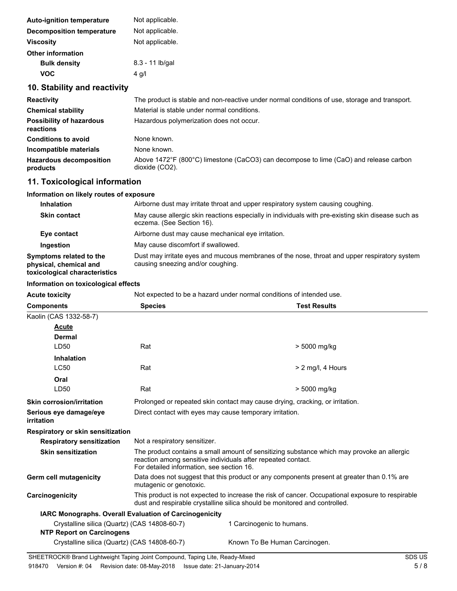| <b>Auto-ignition temperature</b> | Not applicable. |
|----------------------------------|-----------------|
| Decomposition temperature        | Not applicable. |
| <b>Viscosity</b>                 | Not applicable. |
| <b>Other information</b>         |                 |
| <b>Bulk density</b>              | 8.3 - 11 lb/gal |
| VOC                              | 4 g/l           |

# **10. Stability and reactivity**

| <b>Reactivity</b>                            | The product is stable and non-reactive under normal conditions of use, storage and transport.           |  |  |
|----------------------------------------------|---------------------------------------------------------------------------------------------------------|--|--|
| <b>Chemical stability</b>                    | Material is stable under normal conditions.                                                             |  |  |
| <b>Possibility of hazardous</b><br>reactions | Hazardous polymerization does not occur.                                                                |  |  |
| <b>Conditions to avoid</b>                   | None known.                                                                                             |  |  |
| Incompatible materials                       | None known.                                                                                             |  |  |
| <b>Hazardous decomposition</b><br>products   | Above 1472°F (800°C) limestone (CaCO3) can decompose to lime (CaO) and release carbon<br>dioxide (CO2). |  |  |

# **11. Toxicological information**

# **Information on likely routes of exposure**

| <b>Inhalation</b>                                                                  | Airborne dust may irritate throat and upper respiratory system causing coughing.                                                  |  |  |
|------------------------------------------------------------------------------------|-----------------------------------------------------------------------------------------------------------------------------------|--|--|
| <b>Skin contact</b>                                                                | May cause allergic skin reactions especially in individuals with pre-existing skin disease such as<br>eczema. (See Section 16).   |  |  |
| Eye contact                                                                        | Airborne dust may cause mechanical eye irritation.                                                                                |  |  |
| Ingestion                                                                          | May cause discomfort if swallowed.                                                                                                |  |  |
| Symptoms related to the<br>physical, chemical and<br>toxicological characteristics | Dust may irritate eyes and mucous membranes of the nose, throat and upper respiratory system<br>causing sneezing and/or coughing. |  |  |

#### **Information on toxicological effects**

| Not expected to be a hazard under normal conditions of intended use.<br><b>Acute toxicity</b> |                                                                                                                                                                                                         |                                                                               |  |  |
|-----------------------------------------------------------------------------------------------|---------------------------------------------------------------------------------------------------------------------------------------------------------------------------------------------------------|-------------------------------------------------------------------------------|--|--|
| <b>Components</b>                                                                             | <b>Species</b><br><b>Test Results</b>                                                                                                                                                                   |                                                                               |  |  |
| Kaolin (CAS 1332-58-7)                                                                        |                                                                                                                                                                                                         |                                                                               |  |  |
| Acute                                                                                         |                                                                                                                                                                                                         |                                                                               |  |  |
| <b>Dermal</b>                                                                                 |                                                                                                                                                                                                         |                                                                               |  |  |
| LD50                                                                                          | Rat                                                                                                                                                                                                     | > 5000 mg/kg                                                                  |  |  |
| <b>Inhalation</b>                                                                             |                                                                                                                                                                                                         |                                                                               |  |  |
| <b>LC50</b>                                                                                   | Rat                                                                                                                                                                                                     | $> 2$ mg/l, 4 Hours                                                           |  |  |
| Oral                                                                                          |                                                                                                                                                                                                         |                                                                               |  |  |
| LD50                                                                                          | Rat                                                                                                                                                                                                     | > 5000 mg/kg                                                                  |  |  |
| <b>Skin corrosion/irritation</b>                                                              |                                                                                                                                                                                                         | Prolonged or repeated skin contact may cause drying, cracking, or irritation. |  |  |
| Serious eye damage/eye<br>irritation                                                          | Direct contact with eyes may cause temporary irritation.                                                                                                                                                |                                                                               |  |  |
| Respiratory or skin sensitization                                                             |                                                                                                                                                                                                         |                                                                               |  |  |
| <b>Respiratory sensitization</b>                                                              | Not a respiratory sensitizer.                                                                                                                                                                           |                                                                               |  |  |
| <b>Skin sensitization</b>                                                                     | The product contains a small amount of sensitizing substance which may provoke an allergic<br>reaction among sensitive individuals after repeated contact.<br>For detailed information, see section 16. |                                                                               |  |  |
| <b>Germ cell mutagenicity</b>                                                                 | Data does not suggest that this product or any components present at greater than 0.1% are<br>mutagenic or genotoxic.                                                                                   |                                                                               |  |  |
| Carcinogenicity                                                                               | This product is not expected to increase the risk of cancer. Occupational exposure to respirable<br>dust and respirable crystalline silica should be monitored and controlled.                          |                                                                               |  |  |
| <b>IARC Monographs. Overall Evaluation of Carcinogenicity</b>                                 |                                                                                                                                                                                                         |                                                                               |  |  |
| Crystalline silica (Quartz) (CAS 14808-60-7)                                                  |                                                                                                                                                                                                         | 1 Carcinogenic to humans.                                                     |  |  |
| <b>NTP Report on Carcinogens</b>                                                              |                                                                                                                                                                                                         |                                                                               |  |  |
| Crystalline silica (Quartz) (CAS 14808-60-7)                                                  |                                                                                                                                                                                                         | Known To Be Human Carcinogen.                                                 |  |  |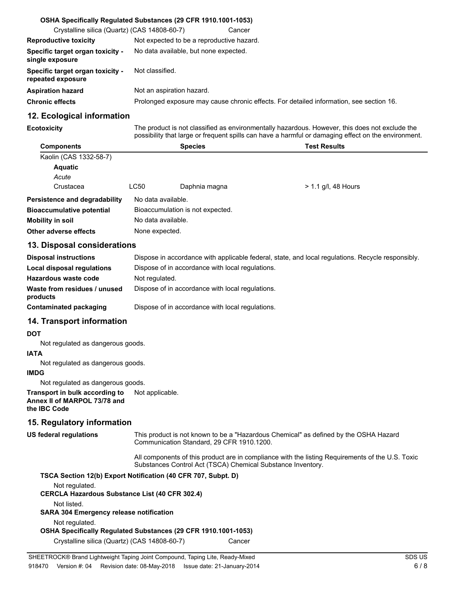|                                                       | OSHA Specifically Regulated Substances (29 CFR 1910.1001-1053)                          |  |
|-------------------------------------------------------|-----------------------------------------------------------------------------------------|--|
| Crystalline silica (Quartz) (CAS 14808-60-7)          | Cancer                                                                                  |  |
| <b>Reproductive toxicity</b>                          | Not expected to be a reproductive hazard.                                               |  |
| Specific target organ toxicity -<br>single exposure   | No data available, but none expected.                                                   |  |
| Specific target organ toxicity -<br>repeated exposure | Not classified.                                                                         |  |
| <b>Aspiration hazard</b>                              | Not an aspiration hazard.                                                               |  |
| <b>Chronic effects</b>                                | Prolonged exposure may cause chronic effects. For detailed information, see section 16. |  |

# **12. Ecological information**

**Ecotoxicity**

The product is not classified as environmentally hazardous. However, this does not exclude the possibility that large or frequent spills can have a harmful or damaging effect on the environment.

| <b>Components</b>                |                                  | <b>Species</b> | <b>Test Results</b>   |
|----------------------------------|----------------------------------|----------------|-----------------------|
| Kaolin (CAS 1332-58-7)           |                                  |                |                       |
| <b>Aquatic</b>                   |                                  |                |                       |
| Acute                            |                                  |                |                       |
| Crustacea                        | LC50                             | Daphnia magna  | $> 1.1$ g/l, 48 Hours |
| Persistence and degradability    | No data available.               |                |                       |
| <b>Bioaccumulative potential</b> | Bioaccumulation is not expected. |                |                       |
| Mobility in soil                 | No data available.               |                |                       |
| Other adverse effects            | None expected.                   |                |                       |

## **13. Disposal considerations**

| <b>Disposal instructions</b>             | Dispose in accordance with applicable federal, state, and local regulations. Recycle responsibly. |
|------------------------------------------|---------------------------------------------------------------------------------------------------|
| Local disposal regulations               | Dispose of in accordance with local regulations.                                                  |
| Hazardous waste code                     | Not regulated.                                                                                    |
| Waste from residues / unused<br>products | Dispose of in accordance with local regulations.                                                  |
| Contaminated packaging                   | Dispose of in accordance with local regulations.                                                  |

# **14. Transport information**

#### **DOT**

Not regulated as dangerous goods.

#### **IATA**

Not regulated as dangerous goods.

#### **IMDG**

Not regulated as dangerous goods.

**Transport in bulk according to** Not applicable. **Annex II of MARPOL 73/78 and the IBC Code**

## **15. Regulatory information**

This product is not known to be a "Hazardous Chemical" as defined by the OSHA Hazard Communication Standard, 29 CFR 1910.1200. **US federal regulations**

> All components of this product are in compliance with the listing Requirements of the U.S. Toxic Substances Control Act (TSCA) Chemical Substance Inventory.

| TSCA Section 12(b) Export Notification (40 CFR 707, Subpt. D)  |        |
|----------------------------------------------------------------|--------|
| Not regulated.                                                 |        |
| <b>CERCLA Hazardous Substance List (40 CFR 302.4)</b>          |        |
| Not listed.                                                    |        |
| <b>SARA 304 Emergency release notification</b>                 |        |
| Not regulated.                                                 |        |
| OSHA Specifically Regulated Substances (29 CFR 1910.1001-1053) |        |
| Crystalline silica (Quartz) (CAS 14808-60-7)                   | Cancer |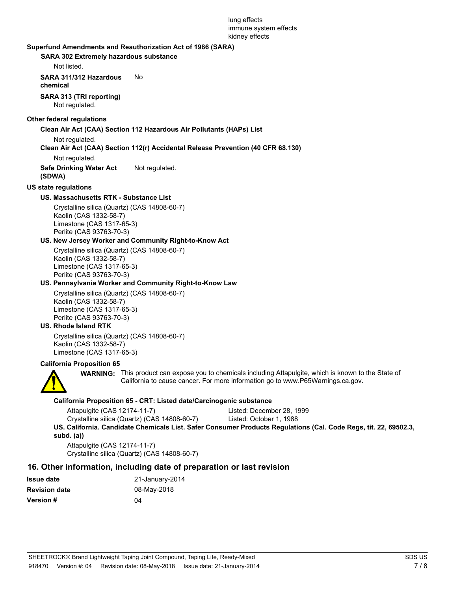#### lung effects immune system effects kidney effects

#### **Superfund Amendments and Reauthorization Act of 1986 (SARA)**

#### **SARA 302 Extremely hazardous substance**

Not listed.

**SARA 311/312 Hazardous** No

**chemical**

**SARA 313 (TRI reporting)**

Not regulated.

#### **Other federal regulations**

#### **Clean Air Act (CAA) Section 112 Hazardous Air Pollutants (HAPs) List**

Not regulated.

#### **Clean Air Act (CAA) Section 112(r) Accidental Release Prevention (40 CFR 68.130)**

Not regulated.

**Safe Drinking Water Act** Not regulated. **(SDWA)**

#### **US state regulations**

#### **US. Massachusetts RTK - Substance List**

Crystalline silica (Quartz) (CAS 14808-60-7) Kaolin (CAS 1332-58-7) Limestone (CAS 1317-65-3) Perlite (CAS 93763-70-3)

#### **US. New Jersey Worker and Community Right-to-Know Act**

Crystalline silica (Quartz) (CAS 14808-60-7) Kaolin (CAS 1332-58-7) Limestone (CAS 1317-65-3) Perlite (CAS 93763-70-3)

#### **US. Pennsylvania Worker and Community Right-to-Know Law**

Crystalline silica (Quartz) (CAS 14808-60-7) Kaolin (CAS 1332-58-7) Limestone (CAS 1317-65-3) Perlite (CAS 93763-70-3)

#### **US. Rhode Island RTK**

Crystalline silica (Quartz) (CAS 14808-60-7) Kaolin (CAS 1332-58-7) Limestone (CAS 1317-65-3)

#### **California Proposition 65**



**WARNING:** This product can expose you to chemicals including Attapulgite, which is known to the State of California to cause cancer. For more information go to www.P65Warnings.ca.gov.

#### **California Proposition 65 - CRT: Listed date/Carcinogenic substance**

Crystalline silica (Quartz) (CAS 14808-60-7) Listed: October 1, 1988

**US. California. Candidate Chemicals List. Safer Consumer Products Regulations (Cal. Code Regs, tit. 22, 69502.3, subd. (a))**

Attapulgite (CAS 12174-11-7) Crystalline silica (Quartz) (CAS 14808-60-7)

## **16. Other information, including date of preparation or last revision**

| <b>Issue date</b>    | 21-January-2014 |
|----------------------|-----------------|
| <b>Revision date</b> | 08-May-2018     |
| <b>Version #</b>     | 04              |